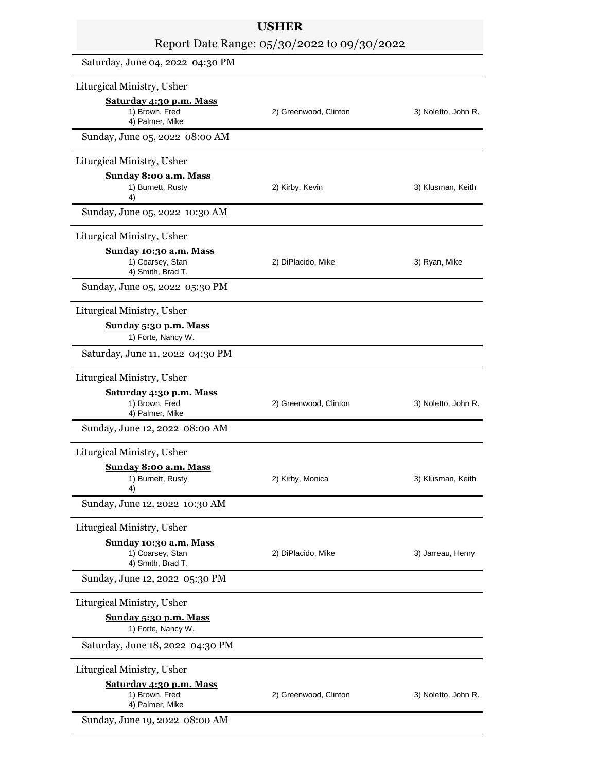| <b>USHER</b><br>Report Date Range: 05/30/2022 to 09/30/2022     |                       |                     |
|-----------------------------------------------------------------|-----------------------|---------------------|
|                                                                 |                       |                     |
| Liturgical Ministry, Usher                                      |                       |                     |
| Saturday 4:30 p.m. Mass<br>1) Brown, Fred<br>4) Palmer, Mike    | 2) Greenwood, Clinton | 3) Noletto, John R. |
| Sunday, June 05, 2022 08:00 AM                                  |                       |                     |
| Liturgical Ministry, Usher                                      |                       |                     |
| Sunday 8:00 a.m. Mass<br>1) Burnett, Rusty<br>4)                | 2) Kirby, Kevin       | 3) Klusman, Keith   |
| Sunday, June 05, 2022 10:30 AM                                  |                       |                     |
| Liturgical Ministry, Usher                                      |                       |                     |
| Sunday 10:30 a.m. Mass<br>1) Coarsey, Stan<br>4) Smith, Brad T. | 2) DiPlacido, Mike    | 3) Ryan, Mike       |
| Sunday, June 05, 2022 05:30 PM                                  |                       |                     |
| Liturgical Ministry, Usher                                      |                       |                     |
| Sunday 5:30 p.m. Mass<br>1) Forte, Nancy W.                     |                       |                     |
| Saturday, June 11, 2022 04:30 PM                                |                       |                     |
| Liturgical Ministry, Usher                                      |                       |                     |
| Saturday 4:30 p.m. Mass<br>1) Brown, Fred<br>4) Palmer, Mike    | 2) Greenwood, Clinton | 3) Noletto, John R. |
| Sunday, June 12, 2022 08:00 AM                                  |                       |                     |
| Liturgical Ministry, Usher                                      |                       |                     |
| Sunday 8:00 a.m. Mass<br>1) Burnett, Rusty<br>4)                | 2) Kirby, Monica      | 3) Klusman, Keith   |
| Sunday, June 12, 2022 10:30 AM                                  |                       |                     |
| Liturgical Ministry, Usher                                      |                       |                     |
| Sunday 10:30 a.m. Mass<br>1) Coarsey, Stan<br>4) Smith, Brad T. | 2) DiPlacido, Mike    | 3) Jarreau, Henry   |
| Sunday, June 12, 2022 05:30 PM                                  |                       |                     |
| Liturgical Ministry, Usher                                      |                       |                     |
| Sunday 5:30 p.m. Mass<br>1) Forte, Nancy W.                     |                       |                     |
| Saturday, June 18, 2022 04:30 PM                                |                       |                     |
| Liturgical Ministry, Usher                                      |                       |                     |
| Saturday 4:30 p.m. Mass<br>1) Brown, Fred<br>4) Palmer, Mike    | 2) Greenwood, Clinton | 3) Noletto, John R. |
| Sunday, June 19, 2022 08:00 AM                                  |                       |                     |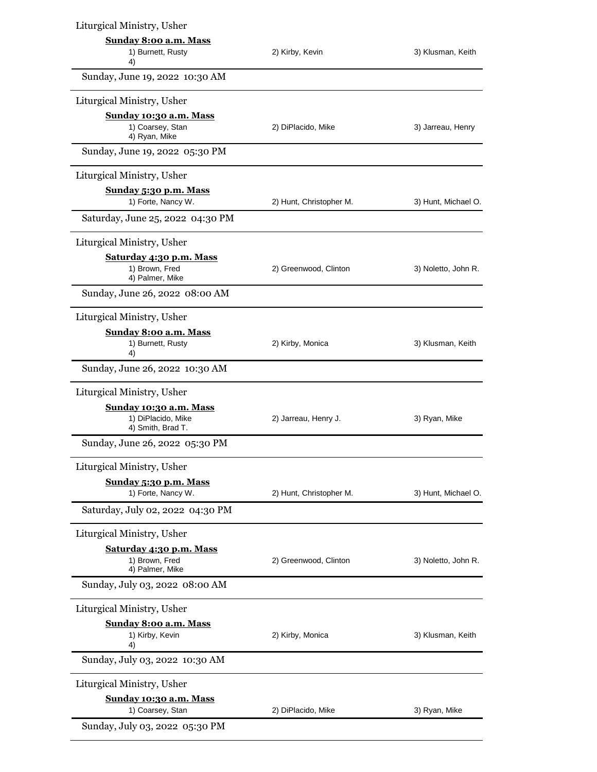| Liturgical Ministry, Usher                                          |                         |                     |
|---------------------------------------------------------------------|-------------------------|---------------------|
| Sunday 8:00 a.m. Mass                                               |                         |                     |
| 1) Burnett, Rusty<br>4)                                             | 2) Kirby, Kevin         | 3) Klusman, Keith   |
| Sunday, June 19, 2022 10:30 AM                                      |                         |                     |
| Liturgical Ministry, Usher                                          |                         |                     |
| Sunday 10:30 a.m. Mass                                              |                         |                     |
| 1) Coarsey, Stan<br>4) Ryan, Mike                                   | 2) DiPlacido, Mike      | 3) Jarreau, Henry   |
| Sunday, June 19, 2022 05:30 PM                                      |                         |                     |
| Liturgical Ministry, Usher                                          |                         |                     |
| <b>Sunday 5:30 p.m. Mass</b><br>1) Forte, Nancy W.                  | 2) Hunt, Christopher M. | 3) Hunt, Michael O. |
| Saturday, June 25, 2022 04:30 PM                                    |                         |                     |
| Liturgical Ministry, Usher                                          |                         |                     |
| Saturday 4:30 p.m. Mass                                             |                         |                     |
| 1) Brown, Fred<br>4) Palmer, Mike                                   | 2) Greenwood, Clinton   | 3) Noletto, John R. |
| Sunday, June 26, 2022 08:00 AM                                      |                         |                     |
| Liturgical Ministry, Usher                                          |                         |                     |
| Sunday 8:00 a.m. Mass                                               |                         |                     |
| 1) Burnett, Rusty<br>4)                                             | 2) Kirby, Monica        | 3) Klusman, Keith   |
| Sunday, June 26, 2022 10:30 AM                                      |                         |                     |
| Liturgical Ministry, Usher                                          |                         |                     |
| Sunday 10:30 a.m. Mass<br>1) DiPlacido, Mike                        |                         |                     |
| 4) Smith, Brad T.                                                   | 2) Jarreau, Henry J.    | 3) Ryan, Mike       |
| Sunday, June 26, 2022 05:30 PM                                      |                         |                     |
| Liturgical Ministry, Usher                                          |                         |                     |
| Sunday 5:30 p.m. Mass                                               |                         |                     |
| 1) Forte, Nancy W.<br>Saturday, July 02, 2022 04:30 PM              | 2) Hunt, Christopher M. | 3) Hunt, Michael O. |
|                                                                     |                         |                     |
| Liturgical Ministry, Usher                                          |                         |                     |
| <b>Saturday 4:30 p.m. Mass</b><br>1) Brown, Fred<br>4) Palmer, Mike | 2) Greenwood, Clinton   | 3) Noletto, John R. |
| Sunday, July 03, 2022 08:00 AM                                      |                         |                     |
| Liturgical Ministry, Usher                                          |                         |                     |
| Sunday 8:00 a.m. Mass                                               |                         |                     |
| 1) Kirby, Kevin<br>4)                                               | 2) Kirby, Monica        | 3) Klusman, Keith   |
| Sunday, July 03, 2022 10:30 AM                                      |                         |                     |
| Liturgical Ministry, Usher                                          |                         |                     |
| <b>Sunday 10:30 a.m. Mass</b><br>1) Coarsey, Stan                   | 2) DiPlacido, Mike      | 3) Ryan, Mike       |
| Sunday, July 03, 2022 05:30 PM                                      |                         |                     |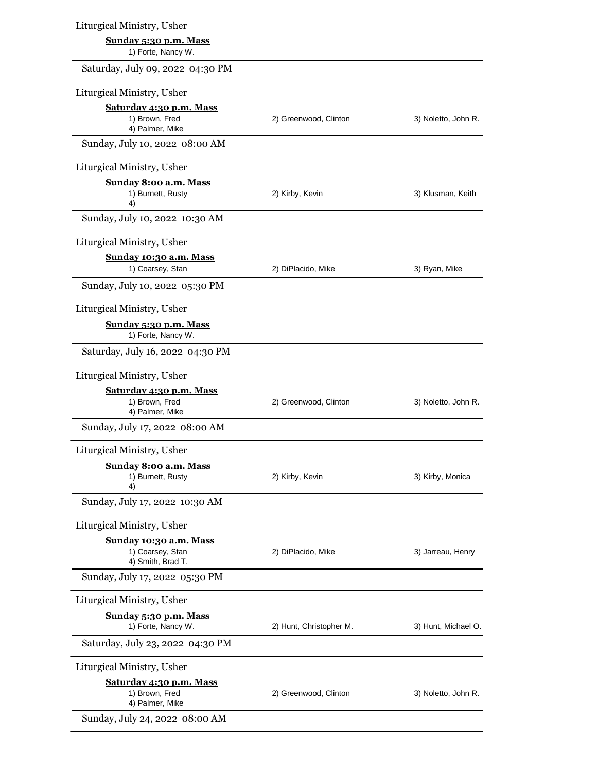| Liturgical Ministry, Usher                                      |                         |                     |
|-----------------------------------------------------------------|-------------------------|---------------------|
| Sunday 5:30 p.m. Mass<br>1) Forte, Nancy W.                     |                         |                     |
| Saturday, July 09, 2022 04:30 PM                                |                         |                     |
| Liturgical Ministry, Usher                                      |                         |                     |
| Saturday 4:30 p.m. Mass                                         |                         |                     |
| 1) Brown, Fred<br>4) Palmer, Mike                               | 2) Greenwood, Clinton   | 3) Noletto, John R. |
| Sunday, July 10, 2022 08:00 AM                                  |                         |                     |
| Liturgical Ministry, Usher                                      |                         |                     |
| Sunday 8:00 a.m. Mass<br>1) Burnett, Rusty<br>4)                | 2) Kirby, Kevin         | 3) Klusman, Keith   |
| Sunday, July 10, 2022 10:30 AM                                  |                         |                     |
| Liturgical Ministry, Usher                                      |                         |                     |
| Sunday 10:30 a.m. Mass<br>1) Coarsey, Stan                      | 2) DiPlacido, Mike      | 3) Ryan, Mike       |
| Sunday, July 10, 2022 05:30 PM                                  |                         |                     |
| Liturgical Ministry, Usher                                      |                         |                     |
| Sunday 5:30 p.m. Mass<br>1) Forte, Nancy W.                     |                         |                     |
| Saturday, July 16, 2022 04:30 PM                                |                         |                     |
| Liturgical Ministry, Usher                                      |                         |                     |
| Saturday 4:30 p.m. Mass<br>1) Brown, Fred<br>4) Palmer, Mike    | 2) Greenwood, Clinton   | 3) Noletto, John R. |
| Sunday, July 17, 2022 08:00 AM                                  |                         |                     |
| Liturgical Ministry, Usher                                      |                         |                     |
| Sunday 8:00 a.m. Mass<br>1) Burnett, Rusty<br>4)                | 2) Kirby, Kevin         | 3) Kirby, Monica    |
| Sunday, July 17, 2022 10:30 AM                                  |                         |                     |
| Liturgical Ministry, Usher                                      |                         |                     |
| Sunday 10:30 a.m. Mass<br>1) Coarsey, Stan<br>4) Smith, Brad T. | 2) DiPlacido, Mike      | 3) Jarreau, Henry   |
| Sunday, July 17, 2022 05:30 PM                                  |                         |                     |
| Liturgical Ministry, Usher                                      |                         |                     |
| Sunday 5:30 p.m. Mass<br>1) Forte, Nancy W.                     | 2) Hunt, Christopher M. | 3) Hunt, Michael O. |
| Saturday, July 23, 2022 04:30 PM                                |                         |                     |
| Liturgical Ministry, Usher                                      |                         |                     |
| Saturday 4:30 p.m. Mass<br>1) Brown, Fred<br>4) Palmer, Mike    | 2) Greenwood, Clinton   | 3) Noletto, John R. |
| Sunday, July 24, 2022 08:00 AM                                  |                         |                     |
|                                                                 |                         |                     |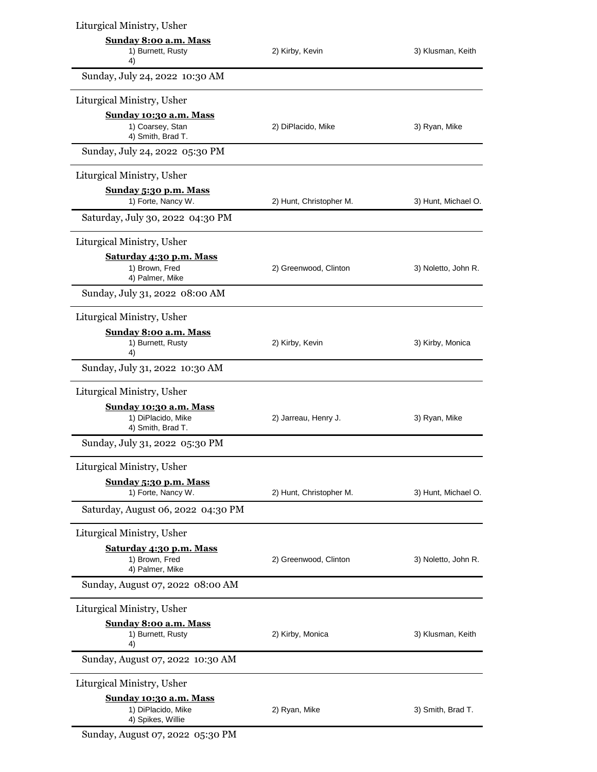| Liturgical Ministry, Usher                                               |                         |                     |
|--------------------------------------------------------------------------|-------------------------|---------------------|
| Sunday 8:00 a.m. Mass<br>1) Burnett, Rusty<br>4)                         | 2) Kirby, Kevin         | 3) Klusman, Keith   |
| Sunday, July 24, 2022 10:30 AM                                           |                         |                     |
| Liturgical Ministry, Usher                                               |                         |                     |
| Sunday 10:30 a.m. Mass<br>1) Coarsey, Stan<br>4) Smith, Brad T.          | 2) DiPlacido, Mike      | 3) Ryan, Mike       |
| Sunday, July 24, 2022 05:30 PM                                           |                         |                     |
| Liturgical Ministry, Usher                                               |                         |                     |
| Sunday 5:30 p.m. Mass<br>1) Forte, Nancy W.                              | 2) Hunt, Christopher M. | 3) Hunt, Michael O. |
| Saturday, July 30, 2022 04:30 PM                                         |                         |                     |
| Liturgical Ministry, Usher                                               |                         |                     |
| Saturday 4:30 p.m. Mass<br>1) Brown, Fred<br>4) Palmer, Mike             | 2) Greenwood, Clinton   | 3) Noletto, John R. |
| Sunday, July 31, 2022 08:00 AM                                           |                         |                     |
| Liturgical Ministry, Usher                                               |                         |                     |
| Sunday 8:00 a.m. Mass<br>1) Burnett, Rusty<br>4)                         | 2) Kirby, Kevin         | 3) Kirby, Monica    |
| Sunday, July 31, 2022 10:30 AM                                           |                         |                     |
| Liturgical Ministry, Usher                                               |                         |                     |
| Sunday 10:30 a.m. Mass<br>1) DiPlacido, Mike<br>4) Smith, Brad T.        | 2) Jarreau, Henry J.    | 3) Ryan, Mike       |
| Sunday, July 31, 2022 05:30 PM                                           |                         |                     |
| Liturgical Ministry, Usher                                               |                         |                     |
| Sunday 5:30 p.m. Mass<br>1) Forte, Nancy W.                              | 2) Hunt, Christopher M. | 3) Hunt, Michael O. |
| Saturday, August 06, 2022 04:30 PM                                       |                         |                     |
| Liturgical Ministry, Usher                                               |                         |                     |
| Saturday 4:30 p.m. Mass<br>1) Brown, Fred<br>4) Palmer, Mike             | 2) Greenwood, Clinton   | 3) Noletto, John R. |
| Sunday, August 07, 2022 08:00 AM                                         |                         |                     |
| Liturgical Ministry, Usher                                               |                         |                     |
| <b>Sunday 8:00 a.m. Mass</b><br>1) Burnett, Rusty<br>4)                  | 2) Kirby, Monica        | 3) Klusman, Keith   |
| Sunday, August 07, 2022 10:30 AM                                         |                         |                     |
| Liturgical Ministry, Usher                                               |                         |                     |
| <b>Sunday 10:30 a.m. Mass</b><br>1) DiPlacido, Mike<br>4) Spikes, Willie | 2) Ryan, Mike           | 3) Smith, Brad T.   |
|                                                                          |                         |                     |

Sunday, August 07, 2022 05:30 PM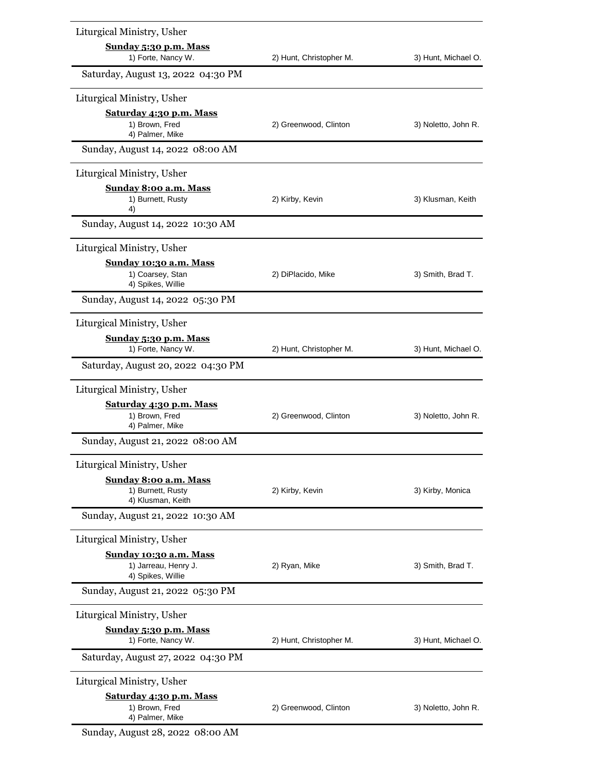| Liturgical Ministry, Usher                                          |                         |                     |
|---------------------------------------------------------------------|-------------------------|---------------------|
| Sunday 5:30 p.m. Mass<br>1) Forte, Nancy W.                         | 2) Hunt, Christopher M. | 3) Hunt, Michael O. |
| Saturday, August 13, 2022 04:30 PM                                  |                         |                     |
| Liturgical Ministry, Usher                                          |                         |                     |
| Saturday 4:30 p.m. Mass<br>1) Brown, Fred<br>4) Palmer, Mike        | 2) Greenwood, Clinton   | 3) Noletto, John R. |
| Sunday, August 14, 2022 08:00 AM                                    |                         |                     |
| Liturgical Ministry, Usher                                          |                         |                     |
| <b>Sunday 8:00 a.m. Mass</b><br>1) Burnett, Rusty<br>4)             | 2) Kirby, Kevin         | 3) Klusman, Keith   |
| Sunday, August 14, 2022 10:30 AM                                    |                         |                     |
| Liturgical Ministry, Usher                                          |                         |                     |
| Sunday 10:30 a.m. Mass<br>1) Coarsey, Stan<br>4) Spikes, Willie     | 2) DiPlacido, Mike      | 3) Smith, Brad T.   |
| Sunday, August 14, 2022 05:30 PM                                    |                         |                     |
| Liturgical Ministry, Usher                                          |                         |                     |
| Sunday 5:30 p.m. Mass<br>1) Forte, Nancy W.                         | 2) Hunt, Christopher M. | 3) Hunt, Michael O. |
| Saturday, August 20, 2022 04:30 PM                                  |                         |                     |
| Liturgical Ministry, Usher                                          |                         |                     |
| Saturday 4:30 p.m. Mass<br>1) Brown, Fred<br>4) Palmer, Mike        | 2) Greenwood, Clinton   | 3) Noletto, John R. |
| Sunday, August 21, 2022 08:00 AM                                    |                         |                     |
| Liturgical Ministry, Usher                                          |                         |                     |
| Sunday 8:00 a.m. Mass<br>1) Burnett, Rusty<br>4) Klusman, Keith     | 2) Kirby, Kevin         | 3) Kirby, Monica    |
| Sunday, August 21, 2022 10:30 AM                                    |                         |                     |
| Liturgical Ministry, Usher                                          |                         |                     |
| Sunday 10:30 a.m. Mass<br>1) Jarreau, Henry J.<br>4) Spikes, Willie | 2) Ryan, Mike           | 3) Smith, Brad T.   |
| Sunday, August 21, 2022 05:30 PM                                    |                         |                     |
| Liturgical Ministry, Usher                                          |                         |                     |
| Sunday 5:30 p.m. Mass<br>1) Forte, Nancy W.                         | 2) Hunt, Christopher M. | 3) Hunt, Michael O. |
| Saturday, August 27, 2022 04:30 PM                                  |                         |                     |
| Liturgical Ministry, Usher                                          |                         |                     |
| Saturday 4:30 p.m. Mass<br>1) Brown, Fred<br>4) Palmer, Mike        | 2) Greenwood, Clinton   | 3) Noletto, John R. |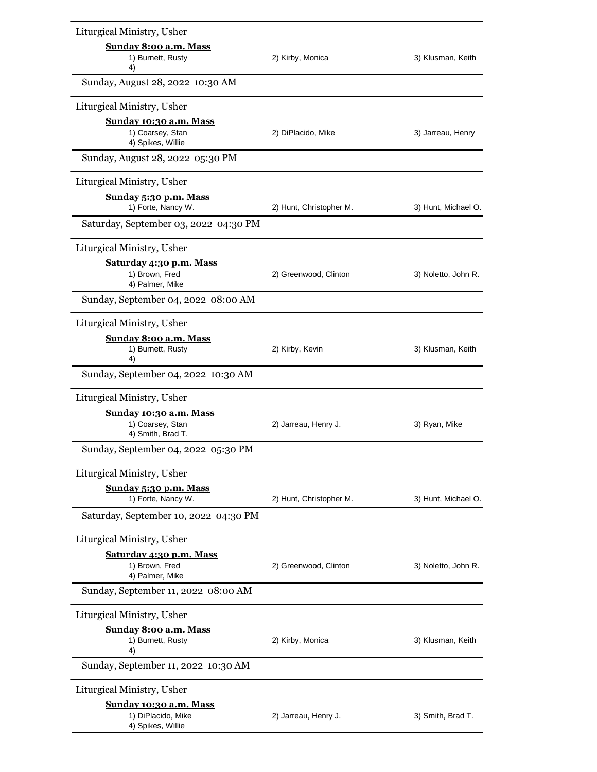| Liturgical Ministry, Usher                                             |                         |                     |
|------------------------------------------------------------------------|-------------------------|---------------------|
| Sunday 8:00 a.m. Mass                                                  |                         |                     |
| 1) Burnett, Rusty<br>4)                                                | 2) Kirby, Monica        | 3) Klusman, Keith   |
| Sunday, August 28, 2022 10:30 AM                                       |                         |                     |
| Liturgical Ministry, Usher                                             |                         |                     |
| Sunday 10:30 a.m. Mass<br>1) Coarsey, Stan<br>4) Spikes, Willie        | 2) DiPlacido, Mike      | 3) Jarreau, Henry   |
| Sunday, August 28, 2022 05:30 PM                                       |                         |                     |
| Liturgical Ministry, Usher                                             |                         |                     |
| <u>Sunday 5:30 p.m. Mass</u><br>1) Forte, Nancy W.                     | 2) Hunt, Christopher M. | 3) Hunt, Michael O. |
| Saturday, September 03, 2022 04:30 PM                                  |                         |                     |
| Liturgical Ministry, Usher                                             |                         |                     |
| Saturday 4:30 p.m. Mass<br>1) Brown, Fred<br>4) Palmer, Mike           | 2) Greenwood, Clinton   | 3) Noletto, John R. |
| Sunday, September 04, 2022 08:00 AM                                    |                         |                     |
| Liturgical Ministry, Usher                                             |                         |                     |
| <b>Sunday 8:00 a.m. Mass</b><br>1) Burnett, Rusty<br>4)                | 2) Kirby, Kevin         | 3) Klusman, Keith   |
| Sunday, September 04, 2022 10:30 AM                                    |                         |                     |
| Liturgical Ministry, Usher                                             |                         |                     |
| <u>Sunday 10:30 a.m. Mass</u><br>1) Coarsey, Stan<br>4) Smith, Brad T. | 2) Jarreau, Henry J.    | 3) Ryan, Mike       |
| Sunday, September 04, 2022 05:30 PM                                    |                         |                     |
| Liturgical Ministry, Usher                                             |                         |                     |
| Sunday 5:30 p.m. Mass<br>1) Forte, Nancy W.                            | 2) Hunt, Christopher M. | 3) Hunt, Michael O. |
| Saturday, September 10, 2022 04:30 PM                                  |                         |                     |
| Liturgical Ministry, Usher                                             |                         |                     |
| Saturday 4:30 p.m. Mass                                                |                         |                     |
| 1) Brown, Fred<br>4) Palmer, Mike                                      | 2) Greenwood, Clinton   | 3) Noletto, John R. |
| Sunday, September 11, 2022 08:00 AM                                    |                         |                     |
| Liturgical Ministry, Usher                                             |                         |                     |
| Sunday 8:00 a.m. Mass<br>1) Burnett, Rusty<br>4)                       | 2) Kirby, Monica        | 3) Klusman, Keith   |
| Sunday, September 11, 2022 10:30 AM                                    |                         |                     |
| Liturgical Ministry, Usher                                             |                         |                     |
| Sunday 10:30 a.m. Mass                                                 |                         |                     |
| 1) DiPlacido, Mike<br>4) Spikes, Willie                                | 2) Jarreau, Henry J.    | 3) Smith, Brad T.   |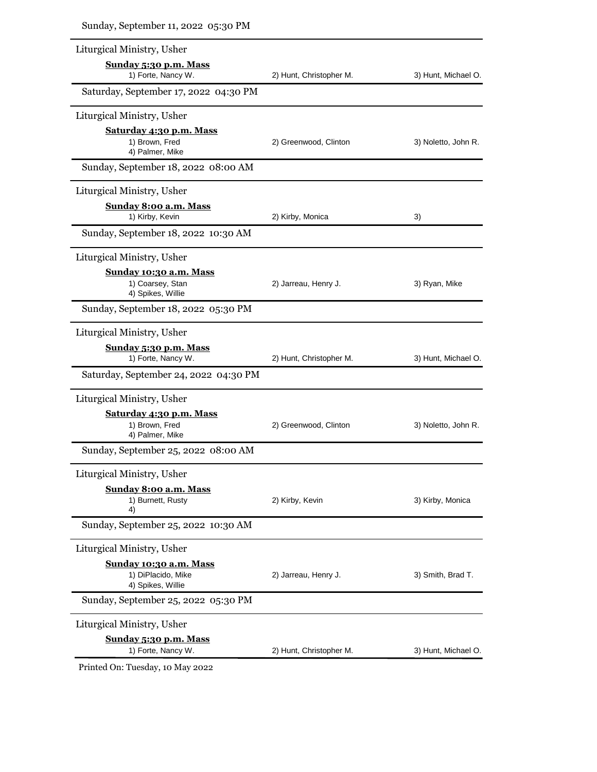| Liturgical Ministry, Usher                                               |                         |                     |
|--------------------------------------------------------------------------|-------------------------|---------------------|
| <u>Sunday 5:30 p.m. Mass</u><br>1) Forte, Nancy W.                       | 2) Hunt, Christopher M. | 3) Hunt, Michael O. |
| Saturday, September 17, 2022 04:30 PM                                    |                         |                     |
| Liturgical Ministry, Usher                                               |                         |                     |
| <u>Saturday 4:30 p.m. Mass</u><br>1) Brown, Fred<br>4) Palmer, Mike      | 2) Greenwood, Clinton   | 3) Noletto, John R. |
| Sunday, September 18, 2022 08:00 AM                                      |                         |                     |
| Liturgical Ministry, Usher                                               |                         |                     |
| Sunday 8:00 a.m. Mass<br>1) Kirby, Kevin                                 | 2) Kirby, Monica        | 3)                  |
| Sunday, September 18, 2022 10:30 AM                                      |                         |                     |
| Liturgical Ministry, Usher                                               |                         |                     |
| Sunday 10:30 a.m. Mass<br>1) Coarsey, Stan<br>4) Spikes, Willie          | 2) Jarreau, Henry J.    | 3) Ryan, Mike       |
| Sunday, September 18, 2022 05:30 PM                                      |                         |                     |
| Liturgical Ministry, Usher                                               |                         |                     |
| Sunday 5:30 p.m. Mass<br>1) Forte, Nancy W.                              | 2) Hunt, Christopher M. | 3) Hunt, Michael O. |
| Saturday, September 24, 2022 04:30 PM                                    |                         |                     |
| Liturgical Ministry, Usher                                               |                         |                     |
| Saturday 4:30 p.m. Mass<br>1) Brown, Fred<br>4) Palmer, Mike             | 2) Greenwood, Clinton   | 3) Noletto, John R. |
| Sunday, September 25, 2022 08:00 AM                                      |                         |                     |
| Liturgical Ministry, Usher                                               |                         |                     |
| <b>Sunday 8:00 a.m. Mass</b><br>1) Burnett, Rusty<br>4)                  | 2) Kirby, Kevin         | 3) Kirby, Monica    |
| Sunday, September 25, 2022 10:30 AM                                      |                         |                     |
| Liturgical Ministry, Usher                                               |                         |                     |
| <u>Sunday 10:30 a.m. Mass</u><br>1) DiPlacido, Mike<br>4) Spikes, Willie | 2) Jarreau, Henry J.    | 3) Smith, Brad T.   |
| Sunday, September 25, 2022 05:30 PM                                      |                         |                     |
| Liturgical Ministry, Usher                                               |                         |                     |
| Sunday 5:30 p.m. Mass<br>1) Forte, Nancy W.                              | 2) Hunt, Christopher M. | 3) Hunt, Michael O. |
| Printed On: Tuesday, 10 May 2022                                         |                         |                     |